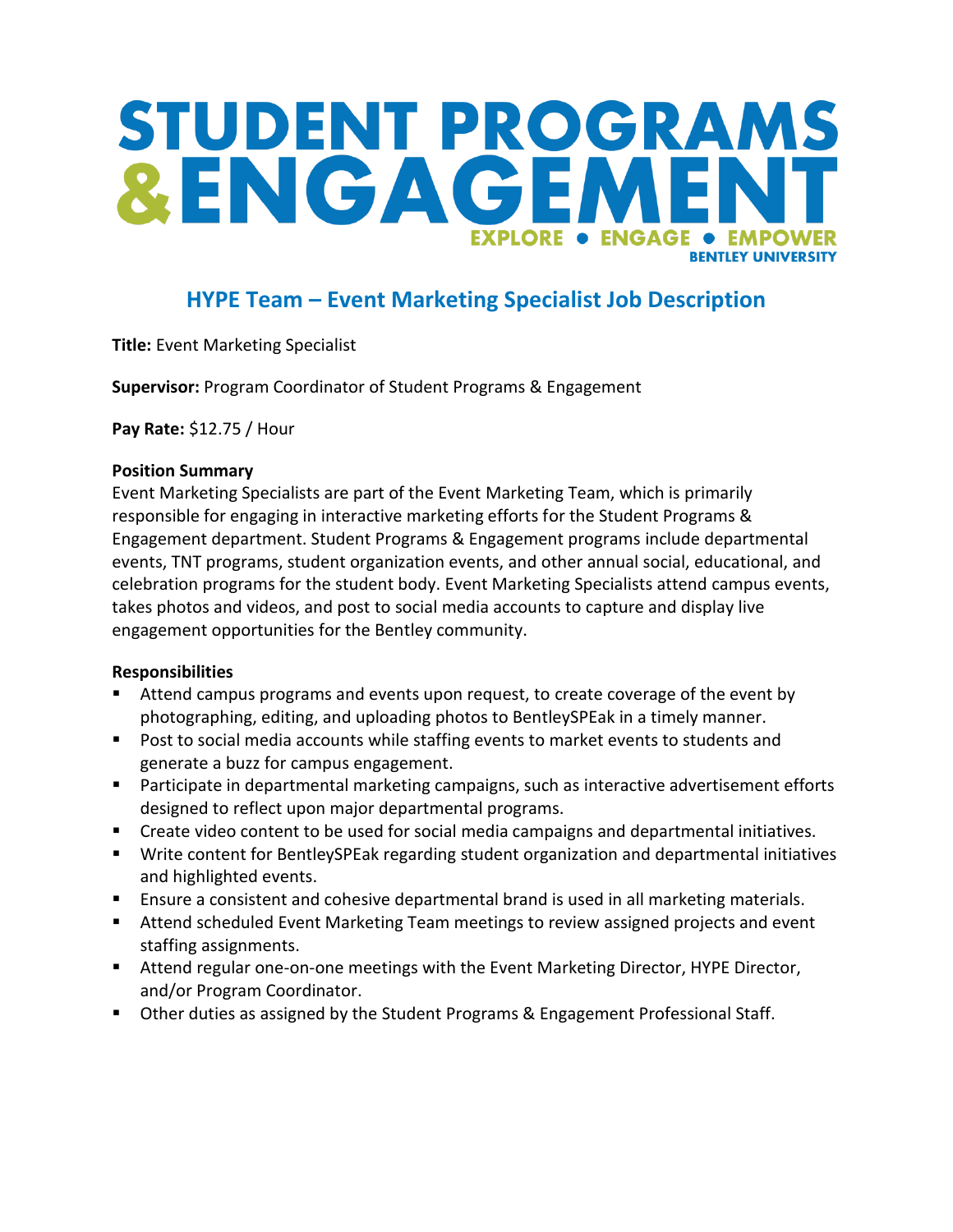# STUDENT PROGRAMS &ENGAGEM **EXPLORE . ENGAGE** • EMPOWER **RENTI EY UNIVERSITY**

## **HYPE Team – Event Marketing Specialist Job Description**

**Title:** Event Marketing Specialist

**Supervisor:** Program Coordinator of Student Programs & Engagement

**Pay Rate:** \$12.75 / Hour

#### **Position Summary**

Event Marketing Specialists are part of the Event Marketing Team, which is primarily responsible for engaging in interactive marketing efforts for the Student Programs & Engagement department. Student Programs & Engagement programs include departmental events, TNT programs, student organization events, and other annual social, educational, and celebration programs for the student body. Event Marketing Specialists attend campus events, takes photos and videos, and post to social media accounts to capture and display live engagement opportunities for the Bentley community.

#### **Responsibilities**

- Attend campus programs and events upon request, to create coverage of the event by photographing, editing, and uploading photos to BentleySPEak in a timely manner.
- Post to social media accounts while staffing events to market events to students and generate a buzz for campus engagement.
- Participate in departmental marketing campaigns, such as interactive advertisement efforts designed to reflect upon major departmental programs.
- Create video content to be used for social media campaigns and departmental initiatives.
- Write content for BentleySPEak regarding student organization and departmental initiatives and highlighted events.
- Ensure a consistent and cohesive departmental brand is used in all marketing materials.
- **E** Attend scheduled Event Marketing Team meetings to review assigned projects and event staffing assignments.
- Attend regular one-on-one meetings with the Event Marketing Director, HYPE Director, and/or Program Coordinator.
- Other duties as assigned by the Student Programs & Engagement Professional Staff.